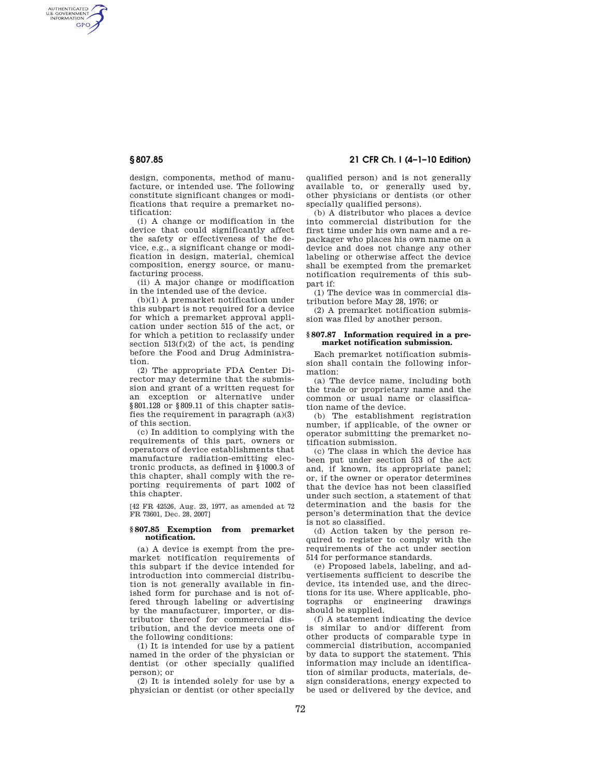AUTHENTICATED<br>U.S. GOVERNMENT<br>INFORMATION GPO

> design, components, method of manufacture, or intended use. The following constitute significant changes or modifications that require a premarket notification:

> (i) A change or modification in the device that could significantly affect the safety or effectiveness of the device, e.g., a significant change or modification in design, material, chemical composition, energy source, or manufacturing process.

(ii) A major change or modification in the intended use of the device.

(b)(1) A premarket notification under this subpart is not required for a device for which a premarket approval application under section 515 of the act, or for which a petition to reclassify under section  $513(f)(2)$  of the act, is pending before the Food and Drug Administration.

(2) The appropriate FDA Center Director may determine that the submission and grant of a written request for an exception or alternative under §801.128 or §809.11 of this chapter satisfies the requirement in paragraph (a)(3) of this section.

(c) In addition to complying with the requirements of this part, owners or operators of device establishments that manufacture radiation-emitting electronic products, as defined in §1000.3 of this chapter, shall comply with the reporting requirements of part 1002 of this chapter.

[42 FR 42526, Aug. 23, 1977, as amended at 72 FR 73601, Dec. 28, 2007]

## **§ 807.85 Exemption from premarket notification.**

(a) A device is exempt from the premarket notification requirements of this subpart if the device intended for introduction into commercial distribution is not generally available in finished form for purchase and is not offered through labeling or advertising by the manufacturer, importer, or distributor thereof for commercial distribution, and the device meets one of the following conditions:

(1) It is intended for use by a patient named in the order of the physician or dentist (or other specially qualified person); or

(2) It is intended solely for use by a physician or dentist (or other specially

**§ 807.85 21 CFR Ch. I (4–1–10 Edition)** 

qualified person) and is not generally available to, or generally used by, other physicians or dentists (or other specially qualified persons).

(b) A distributor who places a device into commercial distribution for the first time under his own name and a repackager who places his own name on a device and does not change any other labeling or otherwise affect the device shall be exempted from the premarket notification requirements of this subpart if:

(1) The device was in commercial distribution before May 28, 1976; or

(2) A premarket notification submission was filed by another person.

## **§ 807.87 Information required in a premarket notification submission.**

Each premarket notification submission shall contain the following information:

(a) The device name, including both the trade or proprietary name and the common or usual name or classification name of the device.

(b) The establishment registration number, if applicable, of the owner or operator submitting the premarket notification submission.

(c) The class in which the device has been put under section 513 of the act and, if known, its appropriate panel; or, if the owner or operator determines that the device has not been classified under such section, a statement of that determination and the basis for the person's determination that the device is not so classified.

(d) Action taken by the person required to register to comply with the requirements of the act under section 514 for performance standards.

(e) Proposed labels, labeling, and advertisements sufficient to describe the device, its intended use, and the directions for its use. Where applicable, photographs or engineering drawings should be supplied.

(f) A statement indicating the device is similar to and/or different from other products of comparable type in commercial distribution, accompanied by data to support the statement. This information may include an identification of similar products, materials, design considerations, energy expected to be used or delivered by the device, and